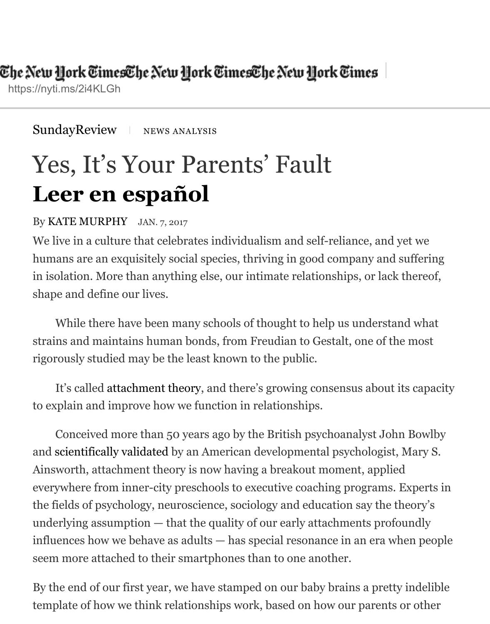SundayReview | NEWS ANALYSIS

## [Yes, It's Your Parents' Fault](https://www.nytimes.com/) **Leer en español**

## [By KATE MURPH](https://www.nytimes.com/pages/opinion/index.html#sundayreview)Y JAN. 7, 2017

We live in a culture that celebrates individualism and self-reliance, and yet humans are an exquisitely social species, thriving in good company and suff [in isolation. More than anything els](https://www.nytimes.com/es/2017/07/04/si-es-culpa-de-tus-padres/)e, our intimate relationships, or lack the sh[ape and define o](https://www.nytimes.com/by/kate-murphy)ur lives.

While there have been many schools of thought to help us understand while strains and maintains human bonds, from Freudian to Gestalt, one of the m rigorously studied may be the least known to the public.

It's called attachment theory, and there's growing consensus about its or to explain and improve how we function in relationships.

Conceived more than 50 years ago by the British psychoanalyst John B and scientifically validated by an American developmental psychologist, Mary Ainsworth, att[achment theory is n](http://www.psychology.sunysb.edu/attachment/online/inge_origins.pdf)ow having a breakout moment, applied everywhere from inner-city preschools to executive coaching programs. Exp the fields of psychology, neuroscience, sociology and education say the theory underlying assumption  $-$  that the quality of our early attachments profound  $influences$  how we behave as adults  $-$  has special resonance in an era when seem more attached to their smartphones than to one another.

By the end of our first year, we have stamped on our baby brains a pretty in template of how we think relationships work, based on how our parents or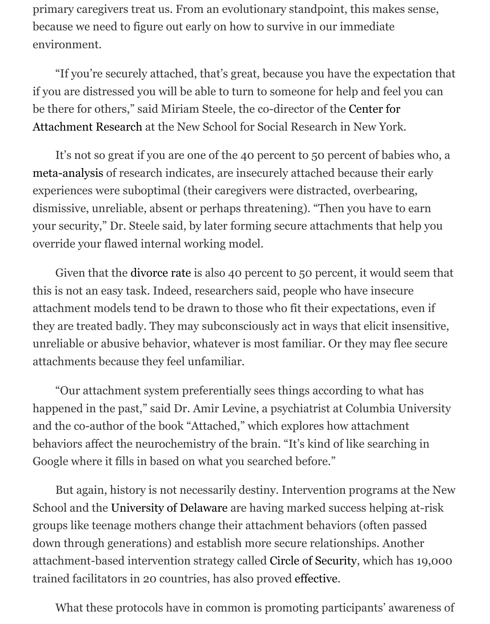if you are distressed you will be able to turn to someone for help and feel yo be there for others," said Miriam Steele, the co-director of the Center for Attachment Research at the New School for Social Research in New York.

It's not so great if you are one of the 40 percent to 50 percent of babies meta-analysis of research indicates, are insecurely attached because their ea experiences were suboptimal (their caregivers were distracted, overbearing, [dismissive, unreliable, absent or perhaps threatening\). "Then you have to](http://www.newschool.edu/nssr/centers-special-programs/?id=104444) earyour security," Dr. Steele said, by later forming secure attachments that help override your flawed internal working model.

Given that the divorce rate is also 40 percent to 50 percent, it would see this is not an easy task. Indeed, researchers said, people who have insecure attachment models tend to be drawn to those who fit their expectations, every they are treated badly. They may subconsciously act in ways that elicit inser unreliable or abusive behavior, whatever is most familiar. Or they may flee a attachments becau[se they feel u](http://www.cdc.gov/nchs/nvss/marriage_divorce_tables.htm)nfamiliar.

"Our attachment system preferentially sees things according to what has happened in the past," said Dr. Amir Levine, a psychiatrist at Columbia Uni and the co-author of the book "Attached," which explores how attachment behaviors affect the neurochemistry of the brain. "It's kind of like searching Google where it fills in based on what you searched before."

But again, history is not necessarily destiny. Intervention programs at the New School and the University of Delaware are having marked success helping a groups like teenage mothers change their attachment behaviors (often passed passed by  $\alpha$ ) down through generations) and establish more secure relationships. Another attachment-based intervention strategy called Circle of Security, which has trained facilitators in 20 countries, has also proved effective.

What these protocols have in common is promoting participants' aware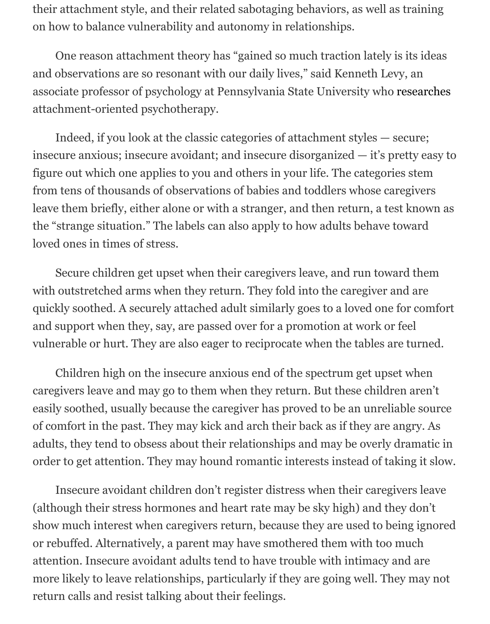associate professor of psychology at Pennsylvania State University who rese attachment-oriented psychotherapy.

Indeed, if you look at the classic categories of attachment styles  $-$  secure insecure anxious; insecure avoidant; and insecure disorganized  $-$  it's pretty figure out which one applies to you and others in your life. The categories st from tens of thousands of observations of babies and toddlers whose caregivers leave them briefly, either alone or with a stranger, and then return, a test kn the "strange situation." The labels can also apply to how adults behave toward loved ones in times of stress.

Secure children get upset when their caregivers leave, and run toward them with outstretched arms when they return. They fold into the caregiver and a quickly soothed. A securely attached adult similarly goes to a loved one for  $\alpha$ and support when they, say, are passed over for a promotion at work or feel vulnerable or hurt. They are also eager to reciprocate when the tables are turned.

Children high on the insecure anxious end of the spectrum get upset when caregivers leave and may go to them when they return. But these children are easily soothed, usually because the caregiver has proved to be an unreliable of comfort in the past. They may kick and arch their back as if they are angre adults, they tend to obsess about their relationships and may be overly dran order to get attention. They may hound romantic interests instead of taking

Insecure avoidant children don't register distress when their caregivers (although their stress hormones and heart rate may be sky high) and they d show much interest when caregivers return, because they are used to being or rebuffed. Alternatively, a parent may have smothered them with too much attention. Insecure avoidant adults tend to have trouble with intimacy and a more likely to leave relationships, particularly if they are going well. They m return calls and resist talking about their feelings.